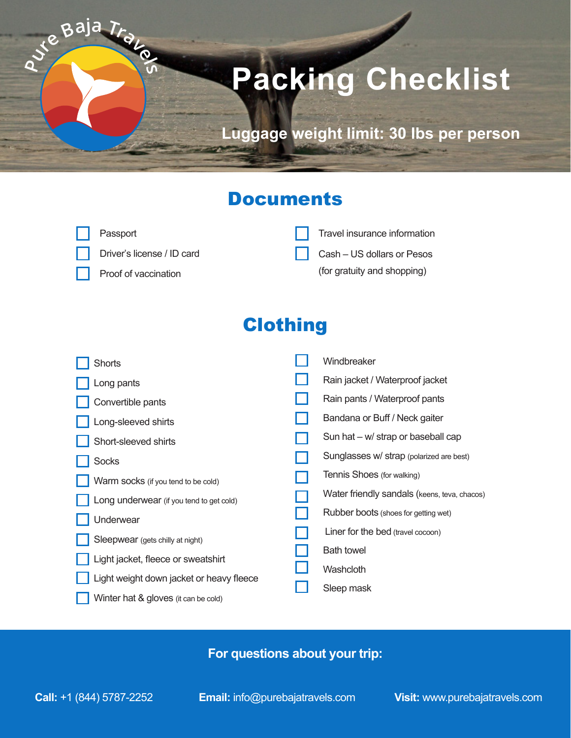# **Packing Checklist**

**Luggage weight limit: 30 lbs per person**

## **Documents**

| <b>Passport</b>             | $\Box$ Travel insurance information |
|-----------------------------|-------------------------------------|
| Driver's license / ID card  | $\Box$ Cash – US dollars or Pesos   |
| $\Box$ Proof of vaccination | (for gratuity and shopping)         |

## **Clothing**

| <b>Shorts</b>                            | Windbreaker                                  |
|------------------------------------------|----------------------------------------------|
| Long pants                               | Rain jacket / Waterproof jacket              |
| Convertible pants                        | Rain pants / Waterproof pants                |
| Long-sleeved shirts                      | Bandana or Buff / Neck gaiter                |
| Short-sleeved shirts                     | Sun hat $-w/$ strap or baseball cap          |
| <b>Socks</b>                             | Sunglasses w/ strap (polarized are best)     |
| Warm socks (if you tend to be cold)      | Tennis Shoes (for walking)                   |
| Long underwear (if you tend to get cold) | Water friendly sandals (keens, teva, chacos) |
| Underwear                                | Rubber boots (shoes for getting wet)         |
| Sleepwear (gets chilly at night)         | Liner for the bed (travel cocoon)            |
| Light jacket, fleece or sweatshirt       | <b>Bath towel</b>                            |
|                                          | Washcloth                                    |
| Light weight down jacket or heavy fleece | Sleep mask                                   |
| Winter hat & gloves (it can be cold)     |                                              |

#### **For questions about your trip:**